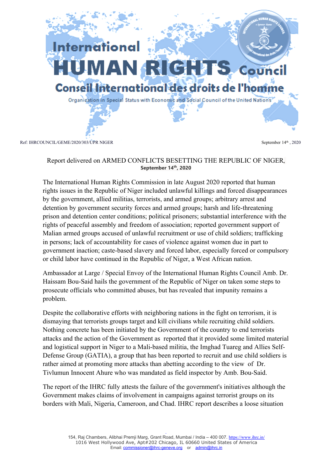

## Report delivered on ARMED CONFLICTS BESETTING THE REPUBLIC OF NIGER**, September <sup>14</sup>th , 2020**

The International Human Rights Commission in late August 2020 reported that human rights issues in the Republic of Niger included unlawful killings and forced disappearances by the government, allied militias, terrorists, and armed groups; arbitrary arrest and detention by governmen<sup>t</sup> security forces and armed groups; harsh and life-threatening prison and detention center conditions; political prisoners; substantial interference with the rights of peaceful assembly and freedom of association; reported governmen<sup>t</sup> suppor<sup>t</sup> of Malian armed groups accused of unlawful recruitment or use of child soldiers; trafficking in persons; lack of accountability for cases of violence against women due in par<sup>t</sup> to governmen<sup>t</sup> inaction; caste-based slavery and forced labor, especially forced or compulsory or child labor have continued in the Republic of Niger, <sup>a</sup> West African nation.

Ambassador at Large / Special Envoy of the International Human Rights Council Amb. Dr. Haissam Bou-Said hails the governmen<sup>t</sup> of the Republic of Niger on taken some steps to prosecute officials who committed abuses, but has revealed that impunity remains <sup>a</sup> problem.

Despite the collaborative efforts with neighboring nations in the fight on terrorism, it is dismaying that terrorists groups target and kill civilians while recruiting child soldiers. Nothing concrete has been initiated by the Government of the country to end terrorists attacks and the action of the Government as reported that it provided some limited material and logistical suppor<sup>t</sup> in Niger to <sup>a</sup> Mali-based militia, the Imghad Tuareg and Allies Self-Defense Group (GATIA), <sup>a</sup> group that has been reported to recruit and use child soldiers is rather aimed at promoting more attacks than abetting according to the view of Dr. Tivlumun Innocent Ahure who was mandated as field inspector by Amb. Bou-Said.

The repor<sup>t</sup> of the IHRC fully attests the failure of the government's initiatives although the Government makes claims of involvement in campaigns against terrorist groups on its borders with Mali, Nigeria, Cameroon, and Chad. IHRC repor<sup>t</sup> describes <sup>a</sup> loose situation